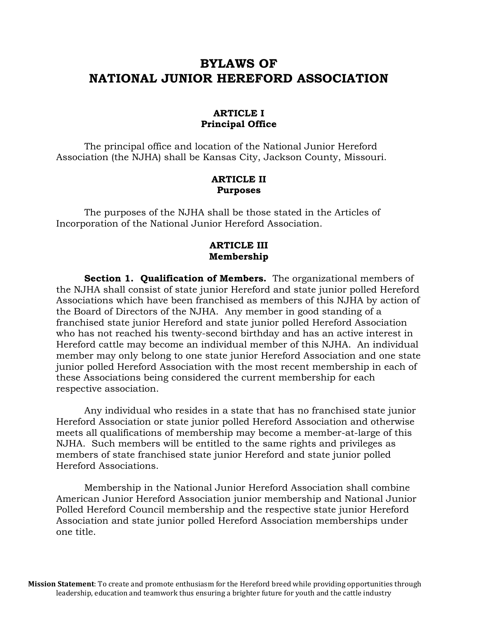## **BYLAWS OF NATIONAL JUNIOR HEREFORD ASSOCIATION**

#### **ARTICLE I Principal Office**

The principal office and location of the National Junior Hereford Association (the NJHA) shall be Kansas City, Jackson County, Missouri.

#### **ARTICLE II Purposes**

The purposes of the NJHA shall be those stated in the Articles of Incorporation of the National Junior Hereford Association.

#### **ARTICLE III Membership**

**Section 1. Qualification of Members.** The organizational members of the NJHA shall consist of state junior Hereford and state junior polled Hereford Associations which have been franchised as members of this NJHA by action of the Board of Directors of the NJHA. Any member in good standing of a franchised state junior Hereford and state junior polled Hereford Association who has not reached his twenty-second birthday and has an active interest in Hereford cattle may become an individual member of this NJHA. An individual member may only belong to one state junior Hereford Association and one state junior polled Hereford Association with the most recent membership in each of these Associations being considered the current membership for each respective association.

Any individual who resides in a state that has no franchised state junior Hereford Association or state junior polled Hereford Association and otherwise meets all qualifications of membership may become a member-at-large of this NJHA. Such members will be entitled to the same rights and privileges as members of state franchised state junior Hereford and state junior polled Hereford Associations.

Membership in the National Junior Hereford Association shall combine American Junior Hereford Association junior membership and National Junior Polled Hereford Council membership and the respective state junior Hereford Association and state junior polled Hereford Association memberships under one title.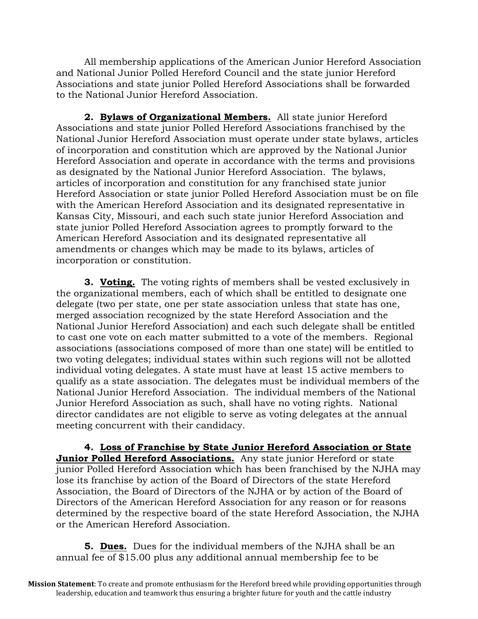All membership applications of the American Junior Hereford Association and National Junior Polled Hereford Council and the state junior Hereford Associations and state junior Polled Hereford Associations shall be forwarded to the National Junior Hereford Association.

**2. Bylaws of Organizational Members.** All state junior Hereford Associations and state junior Polled Hereford Associations franchised by the National Junior Hereford Association must operate under state bylaws, articles of incorporation and constitution which are approved by the National Junior Hereford Association and operate in accordance with the terms and provisions as designated by the National Junior Hereford Association. The bylaws, articles of incorporation and constitution for any franchised state junior Hereford Association or state junior Polled Hereford Association must be on file with the American Hereford Association and its designated representative in Kansas City, Missouri, and each such state junior Hereford Association and state junior Polled Hereford Association agrees to promptly forward to the American Hereford Association and its designated representative all amendments or changes which may be made to its bylaws, articles of incorporation or constitution.

**3. Voting.** The voting rights of members shall be vested exclusively in the organizational members, each of which shall be entitled to designate one delegate (two per state, one per state association unless that state has one, merged association recognized by the state Hereford Association and the National Junior Hereford Association) and each such delegate shall be entitled to cast one vote on each matter submitted to a vote of the members. Regional associations (associations composed of more than one state) will be entitled to two voting delegates; individual states within such regions will not be allotted individual voting delegates. A state must have at least 15 active members to qualify as a state association. The delegates must be individual members of the National Junior Hereford Association. The individual members of the National Junior Hereford Association as such, shall have no voting rights. National director candidates are not eligible to serve as voting delegates at the annual meeting concurrent with their candidacy.

**4. Loss of Franchise by State Junior Hereford Association or State Junior Polled Hereford Associations.** Any state junior Hereford or state junior Polled Hereford Association which has been franchised by the NJHA may lose its franchise by action of the Board of Directors of the state Hereford Association, the Board of Directors of the NJHA or by action of the Board of Directors of the American Hereford Association for any reason or for reasons determined by the respective board of the state Hereford Association, the NJHA or the American Hereford Association.

**5. Dues.** Dues for the individual members of the NJHA shall be an annual fee of \$15.00 plus any additional annual membership fee to be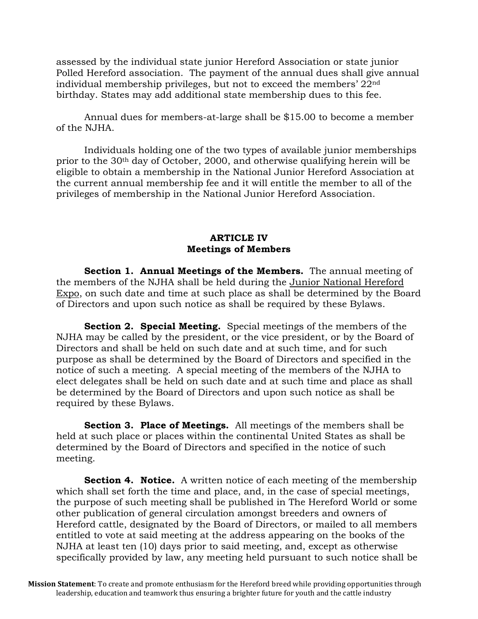assessed by the individual state junior Hereford Association or state junior Polled Hereford association. The payment of the annual dues shall give annual individual membership privileges, but not to exceed the members' 22nd birthday. States may add additional state membership dues to this fee.

Annual dues for members-at-large shall be \$15.00 to become a member of the NJHA.

Individuals holding one of the two types of available junior memberships prior to the 30th day of October, 2000, and otherwise qualifying herein will be eligible to obtain a membership in the National Junior Hereford Association at the current annual membership fee and it will entitle the member to all of the privileges of membership in the National Junior Hereford Association.

#### **ARTICLE IV Meetings of Members**

**Section 1. Annual Meetings of the Members.** The annual meeting of the members of the NJHA shall be held during the Junior National Hereford Expo, on such date and time at such place as shall be determined by the Board of Directors and upon such notice as shall be required by these Bylaws.

**Section 2. Special Meeting.** Special meetings of the members of the NJHA may be called by the president, or the vice president, or by the Board of Directors and shall be held on such date and at such time, and for such purpose as shall be determined by the Board of Directors and specified in the notice of such a meeting. A special meeting of the members of the NJHA to elect delegates shall be held on such date and at such time and place as shall be determined by the Board of Directors and upon such notice as shall be required by these Bylaws.

**Section 3. Place of Meetings.** All meetings of the members shall be held at such place or places within the continental United States as shall be determined by the Board of Directors and specified in the notice of such meeting.

**Section 4. Notice.** A written notice of each meeting of the membership which shall set forth the time and place, and, in the case of special meetings, the purpose of such meeting shall be published in The Hereford World or some other publication of general circulation amongst breeders and owners of Hereford cattle, designated by the Board of Directors, or mailed to all members entitled to vote at said meeting at the address appearing on the books of the NJHA at least ten (10) days prior to said meeting, and, except as otherwise specifically provided by law, any meeting held pursuant to such notice shall be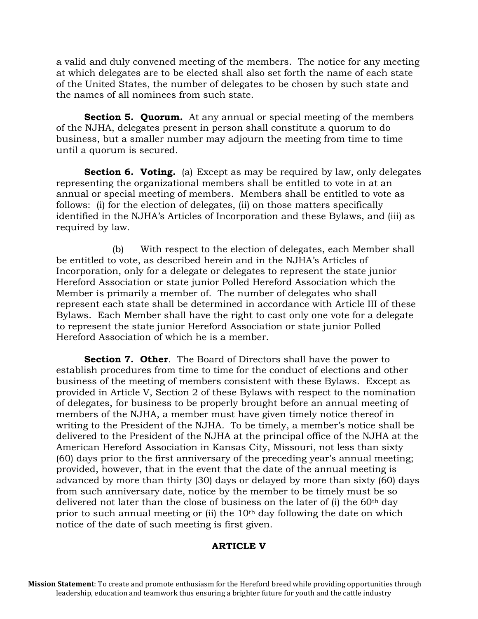a valid and duly convened meeting of the members. The notice for any meeting at which delegates are to be elected shall also set forth the name of each state of the United States, the number of delegates to be chosen by such state and the names of all nominees from such state.

**Section 5. Quorum.** At any annual or special meeting of the members of the NJHA, delegates present in person shall constitute a quorum to do business, but a smaller number may adjourn the meeting from time to time until a quorum is secured.

**Section 6. Voting.** (a) Except as may be required by law, only delegates representing the organizational members shall be entitled to vote in at an annual or special meeting of members. Members shall be entitled to vote as follows: (i) for the election of delegates, (ii) on those matters specifically identified in the NJHA's Articles of Incorporation and these Bylaws, and (iii) as required by law.

(b) With respect to the election of delegates, each Member shall be entitled to vote, as described herein and in the NJHA's Articles of Incorporation, only for a delegate or delegates to represent the state junior Hereford Association or state junior Polled Hereford Association which the Member is primarily a member of. The number of delegates who shall represent each state shall be determined in accordance with Article III of these Bylaws. Each Member shall have the right to cast only one vote for a delegate to represent the state junior Hereford Association or state junior Polled Hereford Association of which he is a member.

**Section 7. Other.** The Board of Directors shall have the power to establish procedures from time to time for the conduct of elections and other business of the meeting of members consistent with these Bylaws. Except as provided in Article V, Section 2 of these Bylaws with respect to the nomination of delegates, for business to be properly brought before an annual meeting of members of the NJHA, a member must have given timely notice thereof in writing to the President of the NJHA. To be timely, a member's notice shall be delivered to the President of the NJHA at the principal office of the NJHA at the American Hereford Association in Kansas City, Missouri, not less than sixty (60) days prior to the first anniversary of the preceding year's annual meeting; provided, however, that in the event that the date of the annual meeting is advanced by more than thirty (30) days or delayed by more than sixty (60) days from such anniversary date, notice by the member to be timely must be so delivered not later than the close of business on the later of (i) the 60th day prior to such annual meeting or (ii) the 10<sup>th</sup> day following the date on which notice of the date of such meeting is first given.

## **ARTICLE V**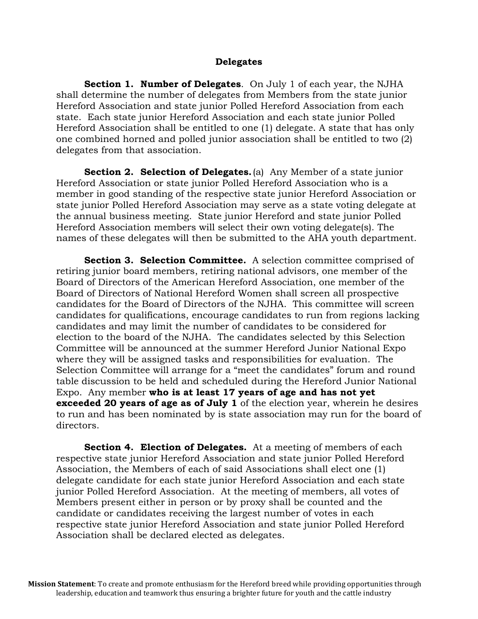#### **Delegates**

**Section 1. Number of Delegates**. On July 1 of each year, the NJHA shall determine the number of delegates from Members from the state junior Hereford Association and state junior Polled Hereford Association from each state. Each state junior Hereford Association and each state junior Polled Hereford Association shall be entitled to one (1) delegate. A state that has only one combined horned and polled junior association shall be entitled to two (2) delegates from that association.

**Section 2. Selection of Delegates.**(a) Any Member of a state junior Hereford Association or state junior Polled Hereford Association who is a member in good standing of the respective state junior Hereford Association or state junior Polled Hereford Association may serve as a state voting delegate at the annual business meeting. State junior Hereford and state junior Polled Hereford Association members will select their own voting delegate(s). The names of these delegates will then be submitted to the AHA youth department.

Section 3. Selection Committee. A selection committee comprised of retiring junior board members, retiring national advisors, one member of the Board of Directors of the American Hereford Association, one member of the Board of Directors of National Hereford Women shall screen all prospective candidates for the Board of Directors of the NJHA. This committee will screen candidates for qualifications, encourage candidates to run from regions lacking candidates and may limit the number of candidates to be considered for election to the board of the NJHA. The candidates selected by this Selection Committee will be announced at the summer Hereford Junior National Expo where they will be assigned tasks and responsibilities for evaluation. The Selection Committee will arrange for a "meet the candidates" forum and round table discussion to be held and scheduled during the Hereford Junior National Expo. Any member **who is at least 17 years of age and has not yet exceeded 20 years of age as of July 1** of the election year, wherein he desires to run and has been nominated by is state association may run for the board of directors.

**Section 4. Election of Delegates.** At a meeting of members of each respective state junior Hereford Association and state junior Polled Hereford Association, the Members of each of said Associations shall elect one (1) delegate candidate for each state junior Hereford Association and each state junior Polled Hereford Association. At the meeting of members, all votes of Members present either in person or by proxy shall be counted and the candidate or candidates receiving the largest number of votes in each respective state junior Hereford Association and state junior Polled Hereford Association shall be declared elected as delegates.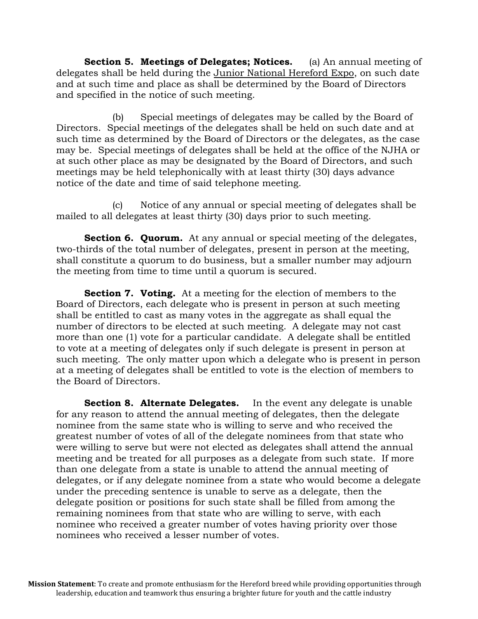**Section 5. Meetings of Delegates; Notices.** (a) An annual meeting of delegates shall be held during the Junior National Hereford Expo, on such date and at such time and place as shall be determined by the Board of Directors and specified in the notice of such meeting.

(b) Special meetings of delegates may be called by the Board of Directors. Special meetings of the delegates shall be held on such date and at such time as determined by the Board of Directors or the delegates, as the case may be. Special meetings of delegates shall be held at the office of the NJHA or at such other place as may be designated by the Board of Directors, and such meetings may be held telephonically with at least thirty (30) days advance notice of the date and time of said telephone meeting.

(c) Notice of any annual or special meeting of delegates shall be mailed to all delegates at least thirty (30) days prior to such meeting.

**Section 6. Quorum.** At any annual or special meeting of the delegates, two-thirds of the total number of delegates, present in person at the meeting, shall constitute a quorum to do business, but a smaller number may adjourn the meeting from time to time until a quorum is secured.

**Section 7. Voting.** At a meeting for the election of members to the Board of Directors, each delegate who is present in person at such meeting shall be entitled to cast as many votes in the aggregate as shall equal the number of directors to be elected at such meeting. A delegate may not cast more than one (1) vote for a particular candidate. A delegate shall be entitled to vote at a meeting of delegates only if such delegate is present in person at such meeting. The only matter upon which a delegate who is present in person at a meeting of delegates shall be entitled to vote is the election of members to the Board of Directors.

**Section 8. Alternate Delegates.** In the event any delegate is unable for any reason to attend the annual meeting of delegates, then the delegate nominee from the same state who is willing to serve and who received the greatest number of votes of all of the delegate nominees from that state who were willing to serve but were not elected as delegates shall attend the annual meeting and be treated for all purposes as a delegate from such state. If more than one delegate from a state is unable to attend the annual meeting of delegates, or if any delegate nominee from a state who would become a delegate under the preceding sentence is unable to serve as a delegate, then the delegate position or positions for such state shall be filled from among the remaining nominees from that state who are willing to serve, with each nominee who received a greater number of votes having priority over those nominees who received a lesser number of votes.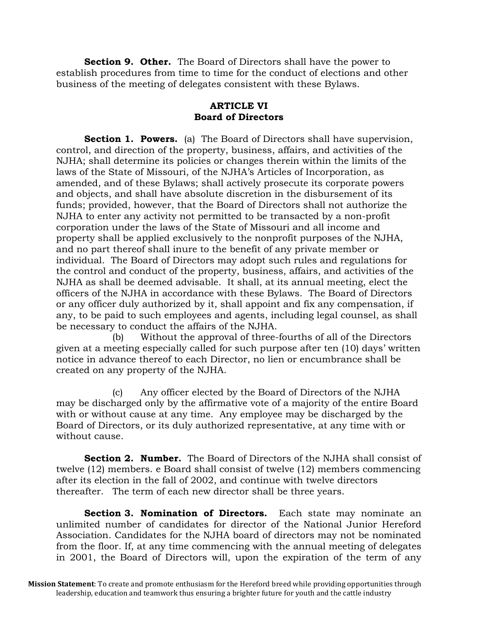**Section 9. Other.** The Board of Directors shall have the power to establish procedures from time to time for the conduct of elections and other business of the meeting of delegates consistent with these Bylaws.

## **ARTICLE VI Board of Directors**

**Section 1. Powers.** (a) The Board of Directors shall have supervision, control, and direction of the property, business, affairs, and activities of the NJHA; shall determine its policies or changes therein within the limits of the laws of the State of Missouri, of the NJHA's Articles of Incorporation, as amended, and of these Bylaws; shall actively prosecute its corporate powers and objects, and shall have absolute discretion in the disbursement of its funds; provided, however, that the Board of Directors shall not authorize the NJHA to enter any activity not permitted to be transacted by a non-profit corporation under the laws of the State of Missouri and all income and property shall be applied exclusively to the nonprofit purposes of the NJHA, and no part thereof shall inure to the benefit of any private member or individual. The Board of Directors may adopt such rules and regulations for the control and conduct of the property, business, affairs, and activities of the NJHA as shall be deemed advisable. It shall, at its annual meeting, elect the officers of the NJHA in accordance with these Bylaws. The Board of Directors or any officer duly authorized by it, shall appoint and fix any compensation, if any, to be paid to such employees and agents, including legal counsel, as shall be necessary to conduct the affairs of the NJHA.

(b) Without the approval of three-fourths of all of the Directors given at a meeting especially called for such purpose after ten (10) days' written notice in advance thereof to each Director, no lien or encumbrance shall be created on any property of the NJHA.

(c) Any officer elected by the Board of Directors of the NJHA may be discharged only by the affirmative vote of a majority of the entire Board with or without cause at any time. Any employee may be discharged by the Board of Directors, or its duly authorized representative, at any time with or without cause.

**Section 2. Number.** The Board of Directors of the NJHA shall consist of twelve (12) members. e Board shall consist of twelve (12) members commencing after its election in the fall of 2002, and continue with twelve directors thereafter. The term of each new director shall be three years.

**Section 3. Nomination of Directors.** Each state may nominate an unlimited number of candidates for director of the National Junior Hereford Association. Candidates for the NJHA board of directors may not be nominated from the floor. If, at any time commencing with the annual meeting of delegates in 2001, the Board of Directors will, upon the expiration of the term of any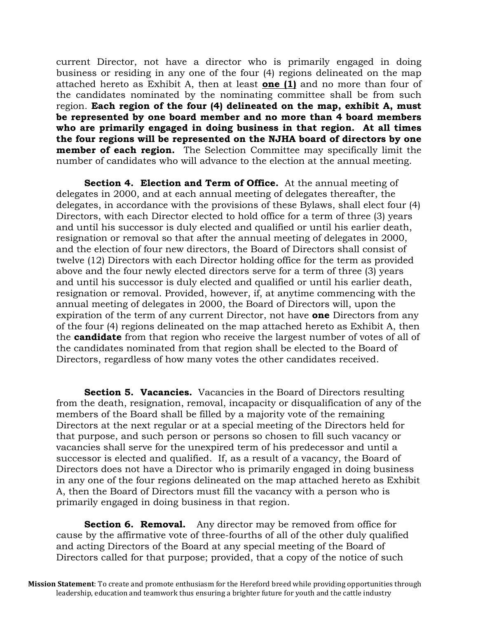current Director, not have a director who is primarily engaged in doing business or residing in any one of the four (4) regions delineated on the map attached hereto as Exhibit A, then at least **one (1)** and no more than four of the candidates nominated by the nominating committee shall be from such region. **Each region of the four (4) delineated on the map, exhibit A, must be represented by one board member and no more than 4 board members who are primarily engaged in doing business in that region. At all times the four regions will be represented on the NJHA board of directors by one member of each region.** The Selection Committee may specifically limit the number of candidates who will advance to the election at the annual meeting.

**Section 4. Election and Term of Office.** At the annual meeting of delegates in 2000, and at each annual meeting of delegates thereafter, the delegates, in accordance with the provisions of these Bylaws, shall elect four (4) Directors, with each Director elected to hold office for a term of three (3) years and until his successor is duly elected and qualified or until his earlier death, resignation or removal so that after the annual meeting of delegates in 2000, and the election of four new directors, the Board of Directors shall consist of twelve (12) Directors with each Director holding office for the term as provided above and the four newly elected directors serve for a term of three (3) years and until his successor is duly elected and qualified or until his earlier death, resignation or removal. Provided, however, if, at anytime commencing with the annual meeting of delegates in 2000, the Board of Directors will, upon the expiration of the term of any current Director, not have **one** Directors from any of the four (4) regions delineated on the map attached hereto as Exhibit A, then the **candidate** from that region who receive the largest number of votes of all of the candidates nominated from that region shall be elected to the Board of Directors, regardless of how many votes the other candidates received.

**Section 5. Vacancies.** Vacancies in the Board of Directors resulting from the death, resignation, removal, incapacity or disqualification of any of the members of the Board shall be filled by a majority vote of the remaining Directors at the next regular or at a special meeting of the Directors held for that purpose, and such person or persons so chosen to fill such vacancy or vacancies shall serve for the unexpired term of his predecessor and until a successor is elected and qualified. If, as a result of a vacancy, the Board of Directors does not have a Director who is primarily engaged in doing business in any one of the four regions delineated on the map attached hereto as Exhibit A, then the Board of Directors must fill the vacancy with a person who is primarily engaged in doing business in that region.

**Section 6. Removal.** Any director may be removed from office for cause by the affirmative vote of three-fourths of all of the other duly qualified and acting Directors of the Board at any special meeting of the Board of Directors called for that purpose; provided, that a copy of the notice of such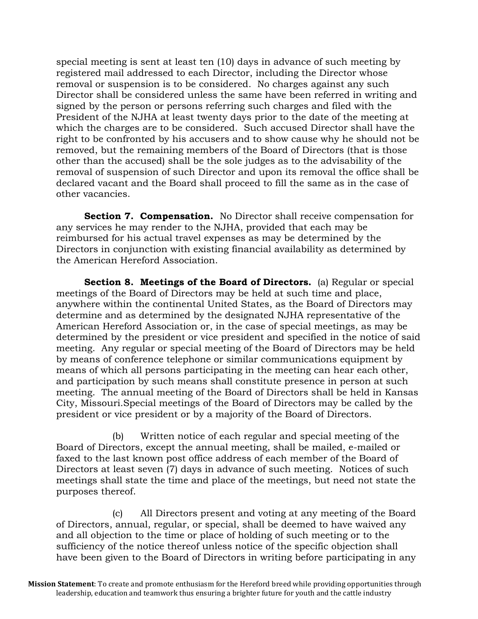special meeting is sent at least ten (10) days in advance of such meeting by registered mail addressed to each Director, including the Director whose removal or suspension is to be considered. No charges against any such Director shall be considered unless the same have been referred in writing and signed by the person or persons referring such charges and filed with the President of the NJHA at least twenty days prior to the date of the meeting at which the charges are to be considered. Such accused Director shall have the right to be confronted by his accusers and to show cause why he should not be removed, but the remaining members of the Board of Directors (that is those other than the accused) shall be the sole judges as to the advisability of the removal of suspension of such Director and upon its removal the office shall be declared vacant and the Board shall proceed to fill the same as in the case of other vacancies.

**Section 7. Compensation.** No Director shall receive compensation for any services he may render to the NJHA, provided that each may be reimbursed for his actual travel expenses as may be determined by the Directors in conjunction with existing financial availability as determined by the American Hereford Association.

**Section 8. Meetings of the Board of Directors.** (a) Regular or special meetings of the Board of Directors may be held at such time and place, anywhere within the continental United States, as the Board of Directors may determine and as determined by the designated NJHA representative of the American Hereford Association or, in the case of special meetings, as may be determined by the president or vice president and specified in the notice of said meeting. Any regular or special meeting of the Board of Directors may be held by means of conference telephone or similar communications equipment by means of which all persons participating in the meeting can hear each other, and participation by such means shall constitute presence in person at such meeting. The annual meeting of the Board of Directors shall be held in Kansas City, Missouri.Special meetings of the Board of Directors may be called by the president or vice president or by a majority of the Board of Directors.

(b) Written notice of each regular and special meeting of the Board of Directors, except the annual meeting, shall be mailed, e-mailed or faxed to the last known post office address of each member of the Board of Directors at least seven (7) days in advance of such meeting. Notices of such meetings shall state the time and place of the meetings, but need not state the purposes thereof.

(c) All Directors present and voting at any meeting of the Board of Directors, annual, regular, or special, shall be deemed to have waived any and all objection to the time or place of holding of such meeting or to the sufficiency of the notice thereof unless notice of the specific objection shall have been given to the Board of Directors in writing before participating in any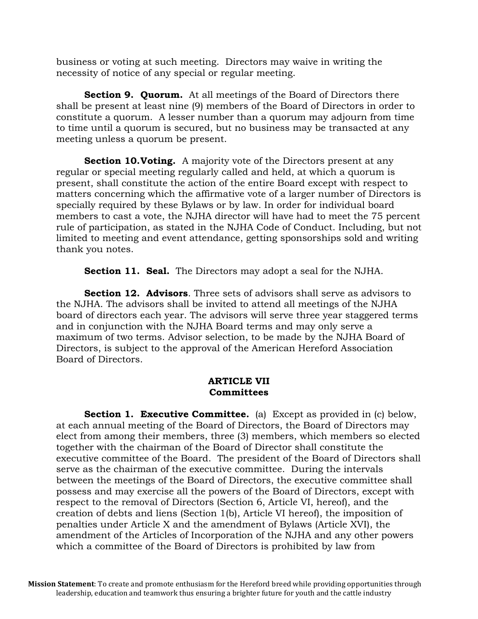business or voting at such meeting. Directors may waive in writing the necessity of notice of any special or regular meeting.

**Section 9. Quorum.** At all meetings of the Board of Directors there shall be present at least nine (9) members of the Board of Directors in order to constitute a quorum. A lesser number than a quorum may adjourn from time to time until a quorum is secured, but no business may be transacted at any meeting unless a quorum be present.

**Section 10. Voting.** A majority vote of the Directors present at any regular or special meeting regularly called and held, at which a quorum is present, shall constitute the action of the entire Board except with respect to matters concerning which the affirmative vote of a larger number of Directors is specially required by these Bylaws or by law. In order for individual board members to cast a vote, the NJHA director will have had to meet the 75 percent rule of participation, as stated in the NJHA Code of Conduct. Including, but not limited to meeting and event attendance, getting sponsorships sold and writing thank you notes.

**Section 11. Seal.** The Directors may adopt a seal for the NJHA.

**Section 12. Advisors**. Three sets of advisors shall serve as advisors to the NJHA. The advisors shall be invited to attend all meetings of the NJHA board of directors each year. The advisors will serve three year staggered terms and in conjunction with the NJHA Board terms and may only serve a maximum of two terms. Advisor selection, to be made by the NJHA Board of Directors, is subject to the approval of the American Hereford Association Board of Directors.

## **ARTICLE VII Committees**

**Section 1. Executive Committee.** (a) Except as provided in (c) below, at each annual meeting of the Board of Directors, the Board of Directors may elect from among their members, three (3) members, which members so elected together with the chairman of the Board of Director shall constitute the executive committee of the Board. The president of the Board of Directors shall serve as the chairman of the executive committee. During the intervals between the meetings of the Board of Directors, the executive committee shall possess and may exercise all the powers of the Board of Directors, except with respect to the removal of Directors (Section 6, Article VI, hereof), and the creation of debts and liens (Section 1(b), Article VI hereof), the imposition of penalties under Article X and the amendment of Bylaws (Article XVI), the amendment of the Articles of Incorporation of the NJHA and any other powers which a committee of the Board of Directors is prohibited by law from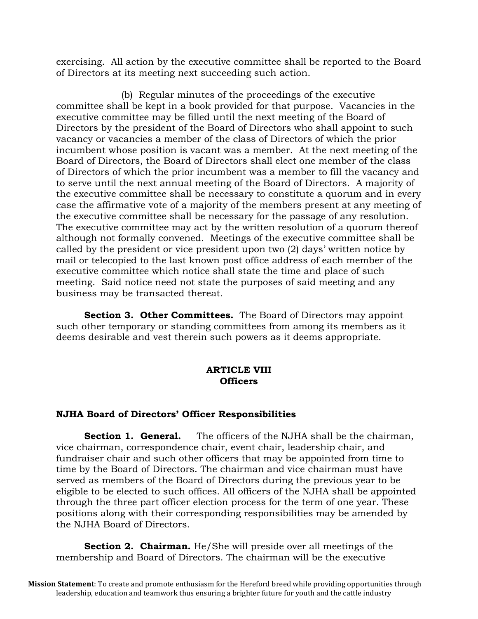exercising. All action by the executive committee shall be reported to the Board of Directors at its meeting next succeeding such action.

 (b) Regular minutes of the proceedings of the executive committee shall be kept in a book provided for that purpose. Vacancies in the executive committee may be filled until the next meeting of the Board of Directors by the president of the Board of Directors who shall appoint to such vacancy or vacancies a member of the class of Directors of which the prior incumbent whose position is vacant was a member. At the next meeting of the Board of Directors, the Board of Directors shall elect one member of the class of Directors of which the prior incumbent was a member to fill the vacancy and to serve until the next annual meeting of the Board of Directors. A majority of the executive committee shall be necessary to constitute a quorum and in every case the affirmative vote of a majority of the members present at any meeting of the executive committee shall be necessary for the passage of any resolution. The executive committee may act by the written resolution of a quorum thereof although not formally convened. Meetings of the executive committee shall be called by the president or vice president upon two (2) days' written notice by mail or telecopied to the last known post office address of each member of the executive committee which notice shall state the time and place of such meeting. Said notice need not state the purposes of said meeting and any business may be transacted thereat.

**Section 3. Other Committees.** The Board of Directors may appoint such other temporary or standing committees from among its members as it deems desirable and vest therein such powers as it deems appropriate.

## **ARTICLE VIII Officers**

## **NJHA Board of Directors' Officer Responsibilities**

**Section 1. General.** The officers of the NJHA shall be the chairman, vice chairman, correspondence chair, event chair, leadership chair, and fundraiser chair and such other officers that may be appointed from time to time by the Board of Directors. The chairman and vice chairman must have served as members of the Board of Directors during the previous year to be eligible to be elected to such offices. All officers of the NJHA shall be appointed through the three part officer election process for the term of one year. These positions along with their corresponding responsibilities may be amended by the NJHA Board of Directors.

**Section 2. Chairman.** He/She will preside over all meetings of the membership and Board of Directors. The chairman will be the executive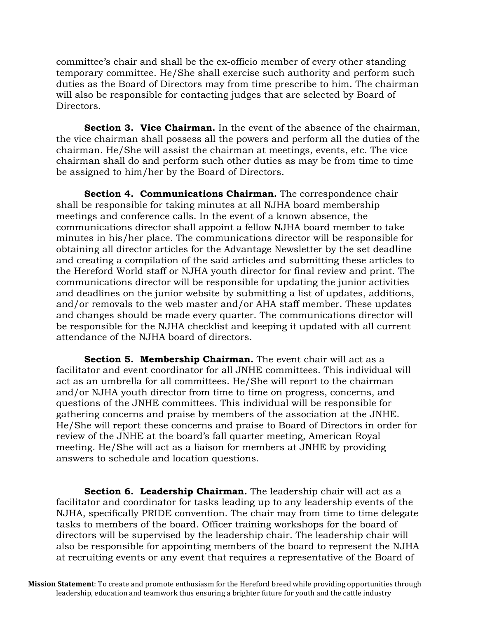committee's chair and shall be the ex-officio member of every other standing temporary committee. He/She shall exercise such authority and perform such duties as the Board of Directors may from time prescribe to him. The chairman will also be responsible for contacting judges that are selected by Board of Directors.

**Section 3. Vice Chairman.** In the event of the absence of the chairman, the vice chairman shall possess all the powers and perform all the duties of the chairman. He/She will assist the chairman at meetings, events, etc. The vice chairman shall do and perform such other duties as may be from time to time be assigned to him/her by the Board of Directors.

**Section 4. Communications Chairman.** The correspondence chair shall be responsible for taking minutes at all NJHA board membership meetings and conference calls. In the event of a known absence, the communications director shall appoint a fellow NJHA board member to take minutes in his/her place. The communications director will be responsible for obtaining all director articles for the Advantage Newsletter by the set deadline and creating a compilation of the said articles and submitting these articles to the Hereford World staff or NJHA youth director for final review and print. The communications director will be responsible for updating the junior activities and deadlines on the junior website by submitting a list of updates, additions, and/or removals to the web master and/or AHA staff member. These updates and changes should be made every quarter. The communications director will be responsible for the NJHA checklist and keeping it updated with all current attendance of the NJHA board of directors.

**Section 5. Membership Chairman.** The event chair will act as a facilitator and event coordinator for all JNHE committees. This individual will act as an umbrella for all committees. He/She will report to the chairman and/or NJHA youth director from time to time on progress, concerns, and questions of the JNHE committees. This individual will be responsible for gathering concerns and praise by members of the association at the JNHE. He/She will report these concerns and praise to Board of Directors in order for review of the JNHE at the board's fall quarter meeting, American Royal meeting. He/She will act as a liaison for members at JNHE by providing answers to schedule and location questions.

**Section 6. Leadership Chairman.** The leadership chair will act as a facilitator and coordinator for tasks leading up to any leadership events of the NJHA, specifically PRIDE convention. The chair may from time to time delegate tasks to members of the board. Officer training workshops for the board of directors will be supervised by the leadership chair. The leadership chair will also be responsible for appointing members of the board to represent the NJHA at recruiting events or any event that requires a representative of the Board of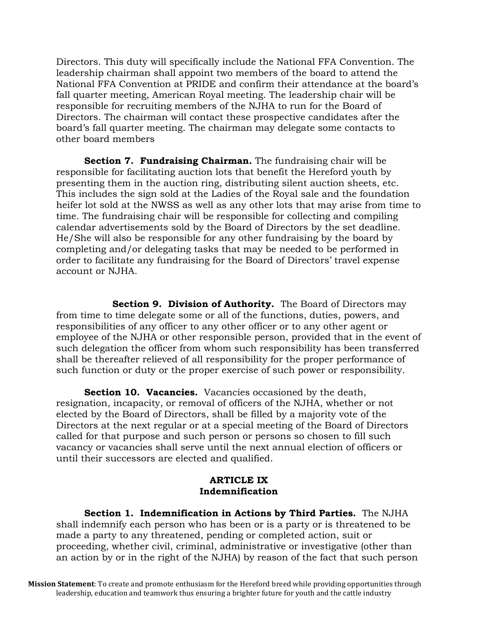Directors. This duty will specifically include the National FFA Convention. The leadership chairman shall appoint two members of the board to attend the National FFA Convention at PRIDE and confirm their attendance at the board's fall quarter meeting, American Royal meeting. The leadership chair will be responsible for recruiting members of the NJHA to run for the Board of Directors. The chairman will contact these prospective candidates after the board's fall quarter meeting. The chairman may delegate some contacts to other board members

**Section 7. Fundraising Chairman.** The fundraising chair will be responsible for facilitating auction lots that benefit the Hereford youth by presenting them in the auction ring, distributing silent auction sheets, etc. This includes the sign sold at the Ladies of the Royal sale and the foundation heifer lot sold at the NWSS as well as any other lots that may arise from time to time. The fundraising chair will be responsible for collecting and compiling calendar advertisements sold by the Board of Directors by the set deadline. He/She will also be responsible for any other fundraising by the board by completing and/or delegating tasks that may be needed to be performed in order to facilitate any fundraising for the Board of Directors' travel expense account or NJHA.

**Section 9. Division of Authority.** The Board of Directors may from time to time delegate some or all of the functions, duties, powers, and responsibilities of any officer to any other officer or to any other agent or employee of the NJHA or other responsible person, provided that in the event of such delegation the officer from whom such responsibility has been transferred shall be thereafter relieved of all responsibility for the proper performance of such function or duty or the proper exercise of such power or responsibility.

**Section 10. Vacancies.** Vacancies occasioned by the death, resignation, incapacity, or removal of officers of the NJHA, whether or not elected by the Board of Directors, shall be filled by a majority vote of the Directors at the next regular or at a special meeting of the Board of Directors called for that purpose and such person or persons so chosen to fill such vacancy or vacancies shall serve until the next annual election of officers or until their successors are elected and qualified.

## **ARTICLE IX Indemnification**

**Section 1. Indemnification in Actions by Third Parties.** The NJHA shall indemnify each person who has been or is a party or is threatened to be made a party to any threatened, pending or completed action, suit or proceeding, whether civil, criminal, administrative or investigative (other than an action by or in the right of the NJHA) by reason of the fact that such person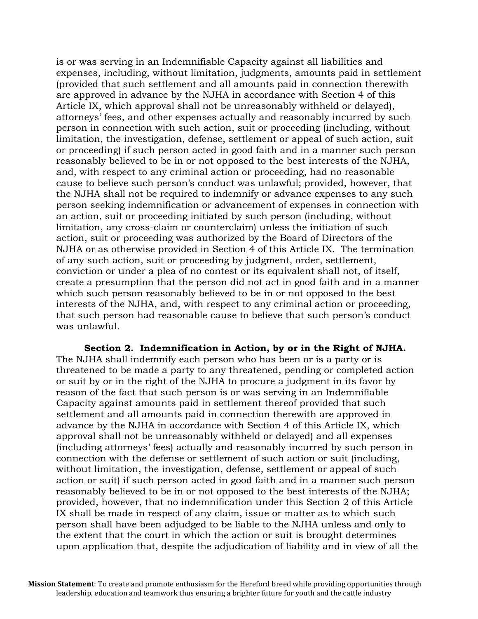is or was serving in an Indemnifiable Capacity against all liabilities and expenses, including, without limitation, judgments, amounts paid in settlement (provided that such settlement and all amounts paid in connection therewith are approved in advance by the NJHA in accordance with Section 4 of this Article IX, which approval shall not be unreasonably withheld or delayed), attorneys' fees, and other expenses actually and reasonably incurred by such person in connection with such action, suit or proceeding (including, without limitation, the investigation, defense, settlement or appeal of such action, suit or proceeding) if such person acted in good faith and in a manner such person reasonably believed to be in or not opposed to the best interests of the NJHA, and, with respect to any criminal action or proceeding, had no reasonable cause to believe such person's conduct was unlawful; provided, however, that the NJHA shall not be required to indemnify or advance expenses to any such person seeking indemnification or advancement of expenses in connection with an action, suit or proceeding initiated by such person (including, without limitation, any cross-claim or counterclaim) unless the initiation of such action, suit or proceeding was authorized by the Board of Directors of the NJHA or as otherwise provided in Section 4 of this Article IX. The termination of any such action, suit or proceeding by judgment, order, settlement, conviction or under a plea of no contest or its equivalent shall not, of itself, create a presumption that the person did not act in good faith and in a manner which such person reasonably believed to be in or not opposed to the best interests of the NJHA, and, with respect to any criminal action or proceeding, that such person had reasonable cause to believe that such person's conduct was unlawful.

**Section 2. Indemnification in Action, by or in the Right of NJHA.**  The NJHA shall indemnify each person who has been or is a party or is threatened to be made a party to any threatened, pending or completed action or suit by or in the right of the NJHA to procure a judgment in its favor by reason of the fact that such person is or was serving in an Indemnifiable Capacity against amounts paid in settlement thereof provided that such settlement and all amounts paid in connection therewith are approved in advance by the NJHA in accordance with Section 4 of this Article IX, which approval shall not be unreasonably withheld or delayed) and all expenses (including attorneys' fees) actually and reasonably incurred by such person in connection with the defense or settlement of such action or suit (including, without limitation, the investigation, defense, settlement or appeal of such action or suit) if such person acted in good faith and in a manner such person reasonably believed to be in or not opposed to the best interests of the NJHA; provided, however, that no indemnification under this Section 2 of this Article IX shall be made in respect of any claim, issue or matter as to which such person shall have been adjudged to be liable to the NJHA unless and only to the extent that the court in which the action or suit is brought determines upon application that, despite the adjudication of liability and in view of all the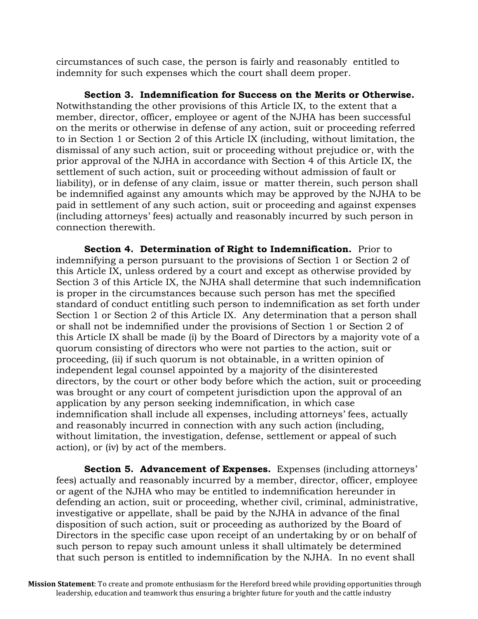circumstances of such case, the person is fairly and reasonably entitled to indemnity for such expenses which the court shall deem proper.

**Section 3. Indemnification for Success on the Merits or Otherwise.** Notwithstanding the other provisions of this Article IX, to the extent that a member, director, officer, employee or agent of the NJHA has been successful on the merits or otherwise in defense of any action, suit or proceeding referred to in Section 1 or Section 2 of this Article IX (including, without limitation, the dismissal of any such action, suit or proceeding without prejudice or, with the prior approval of the NJHA in accordance with Section 4 of this Article IX, the settlement of such action, suit or proceeding without admission of fault or liability), or in defense of any claim, issue or matter therein, such person shall be indemnified against any amounts which may be approved by the NJHA to be paid in settlement of any such action, suit or proceeding and against expenses (including attorneys' fees) actually and reasonably incurred by such person in connection therewith.

**Section 4. Determination of Right to Indemnification.** Prior to indemnifying a person pursuant to the provisions of Section 1 or Section 2 of this Article IX, unless ordered by a court and except as otherwise provided by Section 3 of this Article IX, the NJHA shall determine that such indemnification is proper in the circumstances because such person has met the specified standard of conduct entitling such person to indemnification as set forth under Section 1 or Section 2 of this Article IX. Any determination that a person shall or shall not be indemnified under the provisions of Section 1 or Section 2 of this Article IX shall be made (i) by the Board of Directors by a majority vote of a quorum consisting of directors who were not parties to the action, suit or proceeding, (ii) if such quorum is not obtainable, in a written opinion of independent legal counsel appointed by a majority of the disinterested directors, by the court or other body before which the action, suit or proceeding was brought or any court of competent jurisdiction upon the approval of an application by any person seeking indemnification, in which case indemnification shall include all expenses, including attorneys' fees, actually and reasonably incurred in connection with any such action (including, without limitation, the investigation, defense, settlement or appeal of such action), or (iv) by act of the members.

**Section 5. Advancement of Expenses.** Expenses (including attorneys' fees) actually and reasonably incurred by a member, director, officer, employee or agent of the NJHA who may be entitled to indemnification hereunder in defending an action, suit or proceeding, whether civil, criminal, administrative, investigative or appellate, shall be paid by the NJHA in advance of the final disposition of such action, suit or proceeding as authorized by the Board of Directors in the specific case upon receipt of an undertaking by or on behalf of such person to repay such amount unless it shall ultimately be determined that such person is entitled to indemnification by the NJHA. In no event shall

**Mission Statement**: To create and promote enthusiasm for the Hereford breed while providing opportunities through leadership, education and teamwork thus ensuring a brighter future for youth and the cattle industry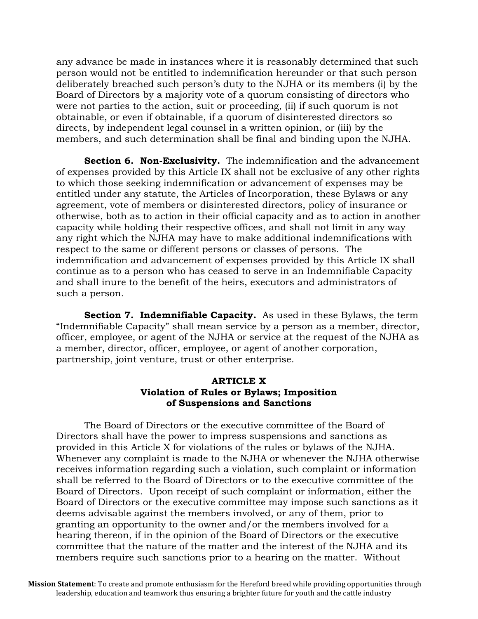any advance be made in instances where it is reasonably determined that such person would not be entitled to indemnification hereunder or that such person deliberately breached such person's duty to the NJHA or its members (i) by the Board of Directors by a majority vote of a quorum consisting of directors who were not parties to the action, suit or proceeding, (ii) if such quorum is not obtainable, or even if obtainable, if a quorum of disinterested directors so directs, by independent legal counsel in a written opinion, or (iii) by the members, and such determination shall be final and binding upon the NJHA.

**Section 6. Non-Exclusivity.** The indemnification and the advancement of expenses provided by this Article IX shall not be exclusive of any other rights to which those seeking indemnification or advancement of expenses may be entitled under any statute, the Articles of Incorporation, these Bylaws or any agreement, vote of members or disinterested directors, policy of insurance or otherwise, both as to action in their official capacity and as to action in another capacity while holding their respective offices, and shall not limit in any way any right which the NJHA may have to make additional indemnifications with respect to the same or different persons or classes of persons. The indemnification and advancement of expenses provided by this Article IX shall continue as to a person who has ceased to serve in an Indemnifiable Capacity and shall inure to the benefit of the heirs, executors and administrators of such a person.

**Section 7. Indemnifiable Capacity.** As used in these Bylaws, the term "Indemnifiable Capacity" shall mean service by a person as a member, director, officer, employee, or agent of the NJHA or service at the request of the NJHA as a member, director, officer, employee, or agent of another corporation, partnership, joint venture, trust or other enterprise.

## **ARTICLE X Violation of Rules or Bylaws; Imposition of Suspensions and Sanctions**

The Board of Directors or the executive committee of the Board of Directors shall have the power to impress suspensions and sanctions as provided in this Article X for violations of the rules or bylaws of the NJHA. Whenever any complaint is made to the NJHA or whenever the NJHA otherwise receives information regarding such a violation, such complaint or information shall be referred to the Board of Directors or to the executive committee of the Board of Directors. Upon receipt of such complaint or information, either the Board of Directors or the executive committee may impose such sanctions as it deems advisable against the members involved, or any of them, prior to granting an opportunity to the owner and/or the members involved for a hearing thereon, if in the opinion of the Board of Directors or the executive committee that the nature of the matter and the interest of the NJHA and its members require such sanctions prior to a hearing on the matter. Without

**Mission Statement**: To create and promote enthusiasm for the Hereford breed while providing opportunities through leadership, education and teamwork thus ensuring a brighter future for youth and the cattle industry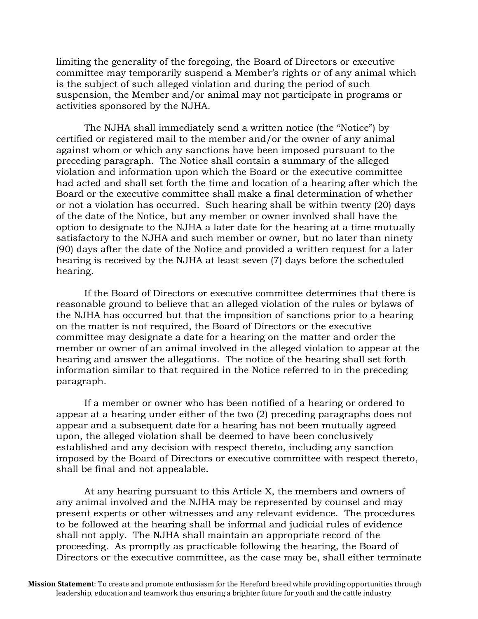limiting the generality of the foregoing, the Board of Directors or executive committee may temporarily suspend a Member's rights or of any animal which is the subject of such alleged violation and during the period of such suspension, the Member and/or animal may not participate in programs or activities sponsored by the NJHA.

The NJHA shall immediately send a written notice (the "Notice") by certified or registered mail to the member and/or the owner of any animal against whom or which any sanctions have been imposed pursuant to the preceding paragraph. The Notice shall contain a summary of the alleged violation and information upon which the Board or the executive committee had acted and shall set forth the time and location of a hearing after which the Board or the executive committee shall make a final determination of whether or not a violation has occurred. Such hearing shall be within twenty (20) days of the date of the Notice, but any member or owner involved shall have the option to designate to the NJHA a later date for the hearing at a time mutually satisfactory to the NJHA and such member or owner, but no later than ninety (90) days after the date of the Notice and provided a written request for a later hearing is received by the NJHA at least seven (7) days before the scheduled hearing.

If the Board of Directors or executive committee determines that there is reasonable ground to believe that an alleged violation of the rules or bylaws of the NJHA has occurred but that the imposition of sanctions prior to a hearing on the matter is not required, the Board of Directors or the executive committee may designate a date for a hearing on the matter and order the member or owner of an animal involved in the alleged violation to appear at the hearing and answer the allegations. The notice of the hearing shall set forth information similar to that required in the Notice referred to in the preceding paragraph.

If a member or owner who has been notified of a hearing or ordered to appear at a hearing under either of the two (2) preceding paragraphs does not appear and a subsequent date for a hearing has not been mutually agreed upon, the alleged violation shall be deemed to have been conclusively established and any decision with respect thereto, including any sanction imposed by the Board of Directors or executive committee with respect thereto, shall be final and not appealable.

At any hearing pursuant to this Article X, the members and owners of any animal involved and the NJHA may be represented by counsel and may present experts or other witnesses and any relevant evidence. The procedures to be followed at the hearing shall be informal and judicial rules of evidence shall not apply. The NJHA shall maintain an appropriate record of the proceeding. As promptly as practicable following the hearing, the Board of Directors or the executive committee, as the case may be, shall either terminate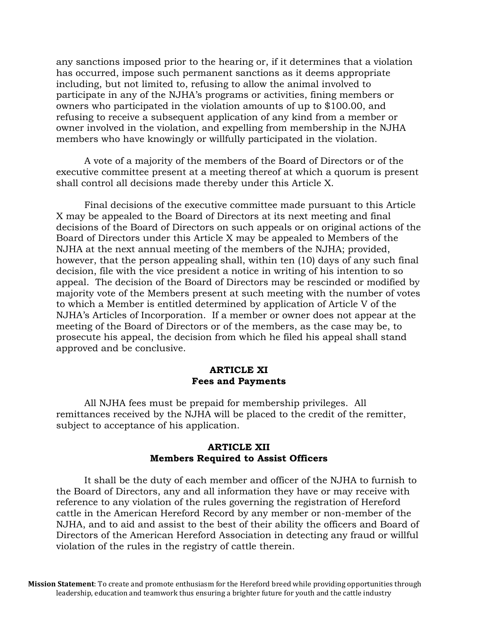any sanctions imposed prior to the hearing or, if it determines that a violation has occurred, impose such permanent sanctions as it deems appropriate including, but not limited to, refusing to allow the animal involved to participate in any of the NJHA's programs or activities, fining members or owners who participated in the violation amounts of up to \$100.00, and refusing to receive a subsequent application of any kind from a member or owner involved in the violation, and expelling from membership in the NJHA members who have knowingly or willfully participated in the violation.

A vote of a majority of the members of the Board of Directors or of the executive committee present at a meeting thereof at which a quorum is present shall control all decisions made thereby under this Article X.

Final decisions of the executive committee made pursuant to this Article X may be appealed to the Board of Directors at its next meeting and final decisions of the Board of Directors on such appeals or on original actions of the Board of Directors under this Article X may be appealed to Members of the NJHA at the next annual meeting of the members of the NJHA; provided, however, that the person appealing shall, within ten (10) days of any such final decision, file with the vice president a notice in writing of his intention to so appeal. The decision of the Board of Directors may be rescinded or modified by majority vote of the Members present at such meeting with the number of votes to which a Member is entitled determined by application of Article V of the NJHA's Articles of Incorporation. If a member or owner does not appear at the meeting of the Board of Directors or of the members, as the case may be, to prosecute his appeal, the decision from which he filed his appeal shall stand approved and be conclusive.

#### **ARTICLE XI Fees and Payments**

All NJHA fees must be prepaid for membership privileges. All remittances received by the NJHA will be placed to the credit of the remitter, subject to acceptance of his application.

## **ARTICLE XII Members Required to Assist Officers**

It shall be the duty of each member and officer of the NJHA to furnish to the Board of Directors, any and all information they have or may receive with reference to any violation of the rules governing the registration of Hereford cattle in the American Hereford Record by any member or non-member of the NJHA, and to aid and assist to the best of their ability the officers and Board of Directors of the American Hereford Association in detecting any fraud or willful violation of the rules in the registry of cattle therein.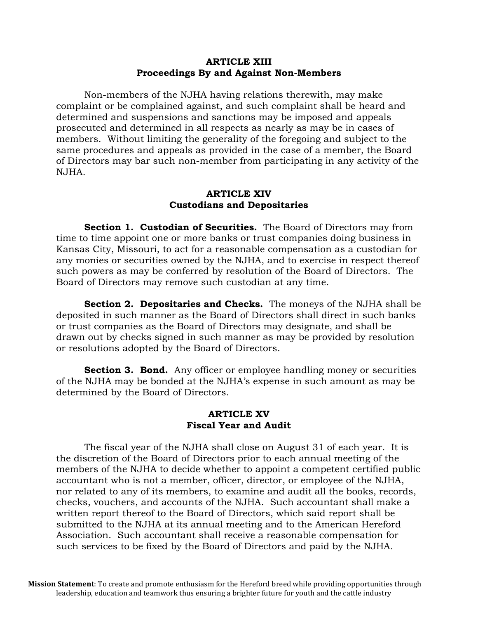## **ARTICLE XIII Proceedings By and Against Non-Members**

Non-members of the NJHA having relations therewith, may make complaint or be complained against, and such complaint shall be heard and determined and suspensions and sanctions may be imposed and appeals prosecuted and determined in all respects as nearly as may be in cases of members. Without limiting the generality of the foregoing and subject to the same procedures and appeals as provided in the case of a member, the Board of Directors may bar such non-member from participating in any activity of the NJHA.

#### **ARTICLE XIV Custodians and Depositaries**

**Section 1. Custodian of Securities.** The Board of Directors may from time to time appoint one or more banks or trust companies doing business in Kansas City, Missouri, to act for a reasonable compensation as a custodian for any monies or securities owned by the NJHA, and to exercise in respect thereof such powers as may be conferred by resolution of the Board of Directors. The Board of Directors may remove such custodian at any time.

**Section 2. Depositaries and Checks.** The moneys of the NJHA shall be deposited in such manner as the Board of Directors shall direct in such banks or trust companies as the Board of Directors may designate, and shall be drawn out by checks signed in such manner as may be provided by resolution or resolutions adopted by the Board of Directors.

**Section 3. Bond.** Any officer or employee handling money or securities of the NJHA may be bonded at the NJHA's expense in such amount as may be determined by the Board of Directors.

## **ARTICLE XV Fiscal Year and Audit**

The fiscal year of the NJHA shall close on August 31 of each year. It is the discretion of the Board of Directors prior to each annual meeting of the members of the NJHA to decide whether to appoint a competent certified public accountant who is not a member, officer, director, or employee of the NJHA, nor related to any of its members, to examine and audit all the books, records, checks, vouchers, and accounts of the NJHA. Such accountant shall make a written report thereof to the Board of Directors, which said report shall be submitted to the NJHA at its annual meeting and to the American Hereford Association. Such accountant shall receive a reasonable compensation for such services to be fixed by the Board of Directors and paid by the NJHA.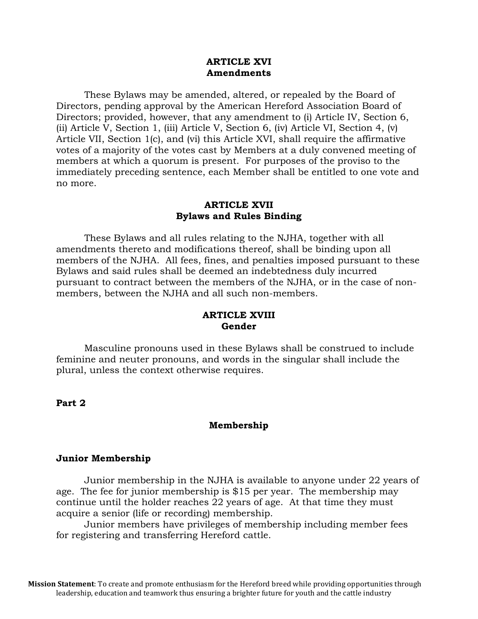#### **ARTICLE XVI Amendments**

These Bylaws may be amended, altered, or repealed by the Board of Directors, pending approval by the American Hereford Association Board of Directors; provided, however, that any amendment to (i) Article IV, Section 6, (ii) Article V, Section 1, (iii) Article V, Section 6, (iv) Article VI, Section 4, (v) Article VII, Section 1(c), and (vi) this Article XVI, shall require the affirmative votes of a majority of the votes cast by Members at a duly convened meeting of members at which a quorum is present. For purposes of the proviso to the immediately preceding sentence, each Member shall be entitled to one vote and no more.

#### **ARTICLE XVII Bylaws and Rules Binding**

These Bylaws and all rules relating to the NJHA, together with all amendments thereto and modifications thereof, shall be binding upon all members of the NJHA. All fees, fines, and penalties imposed pursuant to these Bylaws and said rules shall be deemed an indebtedness duly incurred pursuant to contract between the members of the NJHA, or in the case of nonmembers, between the NJHA and all such non-members.

## **ARTICLE XVIII Gender**

Masculine pronouns used in these Bylaws shall be construed to include feminine and neuter pronouns, and words in the singular shall include the plural, unless the context otherwise requires.

**Part 2**

## **Membership**

#### **Junior Membership**

Junior membership in the NJHA is available to anyone under 22 years of age. The fee for junior membership is \$15 per year. The membership may continue until the holder reaches 22 years of age. At that time they must acquire a senior (life or recording) membership.

Junior members have privileges of membership including member fees for registering and transferring Hereford cattle.